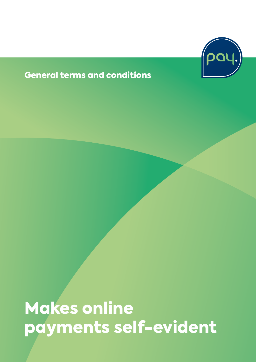

#### General terms and conditions

Makes online payments self-evident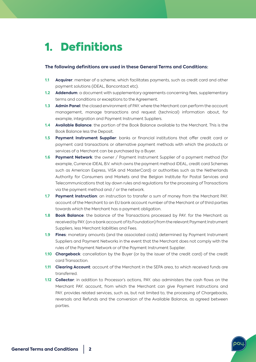### 1. Definitions

#### **The following definitions are used in these General Terms and Conditions:**

- **1.1 Acquirer**: member of a scheme, which facilitates payments, such as credit card and other payment solutions (iDEAL, Bancontact etc).
- **1.2 Addendum**: a document with supplementary agreements concerning fees, supplementary terms and conditions or exceptions to the Agreement.
- **1.3 Admin Panel**: the closed environment of PAY. where the Merchant can perform the account management, manage transactions and request (technical) information about, for example, integration and Payment Instrument Suppliers.
- **1.4 Available Balance**: the portion of the Book Balance available to the Merchant. This is the Book Balance less the Deposit.
- **1.5 Payment Instrument Supplier**: banks or financial institutions that offer credit card or payment card transactions or alternative payment methods with which the products or services of a Merchant can be purchased by a Buyer.
- **1.6 Payment Network**: the owner / Payment Instrument Supplier of a payment method (for example, Currence iDEAL B.V. which owns the payment method iDEAL, credit card Schemes such as American Express, VISA and MasterCard) or authorities such as the Netherlands Authority for Consumers and Markets and the Belgian Institute for Postal Services and Telecommunications that lay down rules and regulations for the processing of Transactions via the payment method and / or the network.
- **1.7 Payment Instruction**: an instruction to transfer a sum of money from the Merchant PAY. account of the Merchant to an EU bank account number of the Merchant or of third parties towards which the Merchant has a payment obligation.
- **1.8 Book Balance**: the balance of the Transactions processed by PAY. for the Merchant as received by PAY. (on a bank account of its Foundation) from the relevant Payment Instrument Suppliers, less Merchant liabilities and Fees.
- **1.9 Fines**: monetary amounts (and the associated costs) determined by Payment Instrument Suppliers and Payment Networks in the event that the Merchant does not comply with the rules of the Payment Network or of the Payment Instrument Supplier.
- **1.10 Chargeback**: cancellation by the Buyer (or by the issuer of the credit card) of the credit card Transaction.
- **1.11 Clearing Account**: account of the Merchant in the SEPA area, to which received funds are transferred.
- **1.12 Collector**: in addition to Processor's actions, PAY. also administers the cash flows on the Merchant PAY. account, from which the Merchant can give Payment Instructions and PAY. provides related services, such as, but not limited to, the processing of Chargebacks, reversals and Refunds and the conversion of the Available Balance, as agreed between parties.

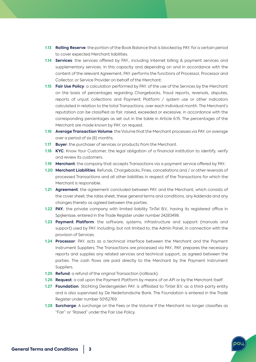- **1.13 Rolling Reserve**: the portion of the Book Balance that is blocked by PAY. for a certain period to cover expected Merchant liabilities.
- **1.14 Services**: the services offered by PAY., including Internet billing & payment services and supplementary services. In this capacity and depending on and in accordance with the content of the relevant Agreement, PAY. performs the functions of Processor, Processor and Collector, or Service Provider on behalf of the Merchant:
- **1.15 Fair Use Policy**: a calculation performed by PAY. of the use of the Services by the Merchant on the basis of percentages regarding Chargebacks, fraud reports, reversals, disputes, reports of unjust collections and Payment Platform / system use or other indicators calculated in relation to the total Transactions, over each individual month. The Merchant's reputation can be classified as fair, raised, exceeded or excessive, in accordance with the corresponding percentages as set out in the table in Article 6.15. The percentages of the Merchant are made known by PAY. on request.
- **1.16 Average Transaction Volume**: the Volume that the Merchant processes via PAY. on average over a period of six (6) months.
- **1.17 Buyer**: the purchaser of services or products from the Merchant.
- **1.18 KYC**: Know Your Customer, the legal obligation of a financial institution to identify, verify and review its customers.
- **1.19 Merchant**: the company that accepts Transactions via a payment service offered by PAY..
- **1.20 Merchant Liabilities**: Refunds, Chargebacks, Fines, cancellations and / or other reversals of processed Transactions and all other liabilities in respect of the Transactions for which the Merchant is responsible.
- **1.21 Agreement**: the agreement concluded between PAY. and the Merchant, which consists of the cover sheet, the rates sheet, these general terms and conditions, any Addenda and any changes thereto as agreed between the parties.
- **1.22 PAY.**: the private company with limited liability TinTel B.V., having its registered office in Spijkenisse, entered in the Trade Register under number 24283498.
- **1.23 Payment Platform**: the software, systems, infrastructure and support (manuals and support) used by PAY. including, but not limited to, the Admin Panel, in connection with the provision of Services.
- **1.24 Processor**: PAY. acts as a technical interface between the Merchant and the Payment Instrument Suppliers. The Transactions are processed via PAY., PAY. prepares the necessary reports and supplies any related services and technical support, as agreed between the parties. The cash flows are paid directly to the Merchant by the Payment Instrument Suppliers.
- **1.25 Refund**: a refund of the original Transaction (rollback).
- **1.26 Request**: a call upon the Payment Platform by means of an API or by the Merchant itself.
- **1.27 Foundation**: Stichting Derdengelden PAY. is affiliated to Tintel B.V. as a third-party entity and is also supervised by De Nederlandsche Bank. The Foundation is entered in the Trade Register under number 50152769.
- **1.28 Surcharge**: A surcharge on the Fees or the Volume if the Merchant no longer classifies as "Fair" or "Raised" under the Fair Use Policy.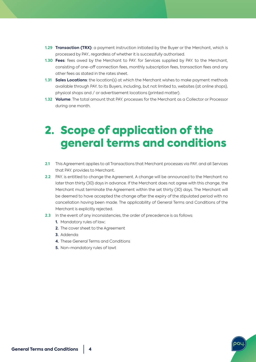- **1.29 Transaction (TRX)**: a payment instruction initiated by the Buyer or the Merchant, which is processed by PAY., regardless of whether it is successfully authorised.
- **1.30 Fees**: fees owed by the Merchant to PAY. for Services supplied by PAY. to the Merchant, consisting of one-off connection fees, monthly subscription fees, transaction fees and any other fees as stated in the rates sheet.
- **1.31 Sales Locations**: the location(s) at which the Merchant wishes to make payment methods available through PAY. to its Buyers, including, but not limited to, websites (at online shops), physical shops and / or advertisement locations (printed matter).
- **1.32 Volume**: The total amount that PAY. processes for the Merchant as a Collector or Processor during one month.

## 2. Scope of application of the general terms and conditions

- **2.1** This Agreement applies to all Transactions that Merchant processes via PAY. and all Services that PAY. provides to Merchant.
- **2.2** PAY. is entitled to change the Agreement. A change will be announced to the Merchant no later than thirty (30) days in advance. If the Merchant does not agree with this change, the Merchant must terminate the Agreement within the set thirty (30) days. The Merchant will be deemed to have accepted the change after the expiry of the stipulated period with no cancellation having been made. The applicability of General Terms and Conditions of the Merchant is explicitly rejected.
- **2.3** In the event of any inconsistencies, the order of precedence is as follows:
	- **1.** Mandatory rules of law;
	- **2.** The cover sheet to the Agreement
	- **3.** Addenda
	- **4.** These General Terms and Conditions
	- **5.** Non-mandatory rules of lawt

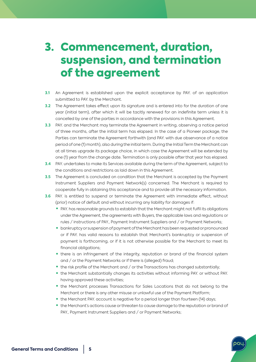### 3. Commencement, duration, suspension, and termination of the agreement

- **3.1** An Agreement is established upon the explicit acceptance by PAY. of an application submitted to PAY. by the Merchant.
- **3.2** The Agreement takes effect upon its signature and is entered into for the duration of one year (initial term), after which it will be tacitly renewed for an indefinite term unless it is cancelled by one of the parties in accordance with the provisions in this Agreement.
- **3.3** PAY. and the Merchant may terminate the Agreement in writing, observing a notice period of three months, after the initial term has elapsed. In the case of a Pioneer package, the Parties can terminate the Agreement forthwith (and PAY. with due observance of a notice period of one (1) month), also during the initial term. During the Initial Term the Merchant can at all times upgrade its package choice, in which case the Agreement will be extended by one (1) year from the change date. Termination is only possible after that year has elapsed.
- **3.4** PAY. undertakes to make its Services available during the term of the Agreement, subject to the conditions and restrictions as laid down in this Agreement.
- **3.5** The Agreement is concluded on condition that the Merchant is accepted by the Payment Instrument Suppliers and Payment Network(s) concerned. The Merchant is required to cooperate fully in obtaining this acceptance and to provide all the necessary information.
- **3.6** PAY. is entitled to suspend or terminate the Agreement with immediate effect, without (prior) notice of default and without incurring any liability for damages if:
	- PAY. has reasonable grounds to establish that the Merchant might not fulfil its obligations under the Agreement, the agreements with Buyers, the applicable laws and regulations or rules / instructions of PAY., Payment Instrument Suppliers and / or Payment Networks;
	- bankruptcy or suspension of payment of the Merchant has been requested or pronounced or if PAY. has valid reasons to establish that Merchant's bankruptcy or suspension of payment is forthcoming, or if it is not otherwise possible for the Merchant to meet its financial obligations;
	- there is an infringement of the integrity, reputation or brand of the financial system and / or the Payment Networks or if there is (alleged) fraud;
	- the risk profile of the Merchant and / or the Transactions has changed substantially;
	- the Merchant substantially changes its activities without informing PAY. or without PAY. having approved these activities;
	- the Merchant processes Transactions for Sales Locations that do not belong to the Merchant or there is any other misuse or unlawful use of the Payment Platform;
	- the Merchant PAY. account is negative for a period longer than fourteen (14) days;
	- the Merchant's actions cause or threaten to cause damage to the reputation or brand of PAY., Payment Instrument Suppliers and / or Payment Networks;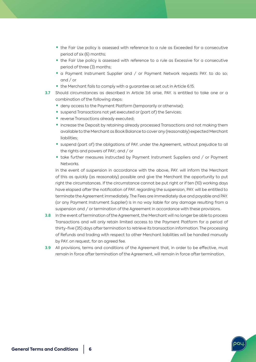- the Fair Use policy is assessed with reference to a rule as Exceeded for a consecutive period of six (6) months;
- the Fair Use policy is assessed with reference to a rule as Excessive for a consecutive period of three (3) months;
- a Payment Instrument Supplier and / or Payment Network requests PAY, to do so; and / or
- the Merchant fails to comply with a guarantee as set out in Article 6.15.
- **3.7** Should circumstances as described in Article 3.6 arise, PAY. is entitled to take one or a combination of the following steps:
	- deny access to the Payment Platform (temporarily or otherwise);
	- suspend Transactions not yet executed or (part of) the Services:
	- reverse Transactions already executed:
	- increase the Deposit by retaining already processed Transactions and not making them available to the Merchant as Book Balance to cover any (reasonably) expected Merchant liabilities;
	- suspend (part of) the obligations of PAY, under the Agreement, without prejudice to all the rights and powers of PAY.; and / or
	- take further measures instructed by Payment Instrument Suppliers and / or Payment Networks.

In the event of suspension in accordance with the above, PAY. will inform the Merchant of this as quickly (as reasonably) possible and give the Merchant the opportunity to put right the circumstances. If the circumstance cannot be put right or if ten (10) working days have elapsed after the notification of PAY. regarding the suspension, PAY. will be entitled to terminate the Agreement immediately. The Fees are immediately due and payable and PAY. (or any Payment Instrument Supplier) is in no way liable for any damage resulting from a suspension and / or termination of the Agreement in accordance with these provisions.

- **3.8** In the event of termination of the Agreement, the Merchant will no longer be able to process Transactions and will only retain limited access to the Payment Platform for a period of thirty-five (35) days after termination to retrieve its transaction information. The processing of Refunds and trading with respect to other Merchant liabilities will be handled manually by PAY. on request, for an agreed fee.
- **3.9** All provisions, terms and conditions of the Agreement that, in order to be effective, must remain in force after termination of the Agreement, will remain in force after termination.

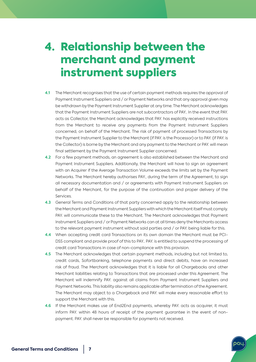### 4. Relationship between the merchant and payment instrument suppliers

- **4.1** The Merchant recognises that the use of certain payment methods requires the approval of Payment Instrument Suppliers and / or Payment Networks and that any approval given may be withdrawn by the Payment Instrument Supplier at any time. The Merchant acknowledges that the Payment Instrument Suppliers are not subcontractors of PAY.. In the event that PAY. acts as Collector, the Merchant acknowledges that PAY. has explicitly received instructions from the Merchant to receive any payments from the Payment Instrument Suppliers concerned, on behalf of the Merchant. The risk of payment of processed Transactions by the Payment Instrument Supplier to the Merchant (if PAY. is the Processor) or to PAY. (if PAY. is the Collector) is borne by the Merchant and any payment to the Merchant or PAY. will mean final settlement by the Payment Instrument Supplier concerned.
- **4.2** For a few payment methods, an agreement is also established between the Merchant and Payment Instrument Suppliers. Additionally, the Merchant will have to sign an agreement with an Acquirer if the Average Transaction Volume exceeds the limits set by the Payment Networks. The Merchant hereby authorises PAY., during the term of the Agreement, to sign all necessary documentation and / or agreements with Payment Instrument Suppliers on behalf of the Merchant, for the purpose of the continuation and proper delivery of the **Services**
- **4.3** General Terms and Conditions of that party concerned apply to the relationship between the Merchant and Payment Instrument Suppliers with which the Merchant itself must comply. PAY. will communicate these to the Merchant. The Merchant acknowledges that Payment Instrument Suppliers and / or Payment Networks can at all times deny the Merchants access to the relevant payment instrument without said parties and / or PAY. being liable for this.
- **4.4** When accepting credit card Transactions on its own domain the Merchant must be PCI-DSS compliant and provide proof of this to PAY.. PAY. is entitled to suspend the processing of credit card Transactions in case of non-compliance with this provision.
- **4.5** The Merchant acknowledges that certain payment methods, including but not limited to, credit cards, Sofortbanking, telephone payments and direct debits, have an increased risk of fraud. The Merchant acknowledges that it is liable for all Chargebacks and other Merchant liabilities relating to Transactions that are processed under this Agreement. The Merchant will indemnify PAY. against all claims from Payment Instrument Suppliers and Payment Networks. This liability also remains applicable after termination of the Agreement. The Merchant may object to a Chargeback and PAY. will make every reasonable effort to support the Merchant with this.
- **4.6** If the Merchant makes use of End2End payments, whereby PAY. acts as acquirer, it must inform PAY. within 48 hours of receipt of the payment guarantee in the event of nonpayment. PAY. shall never be responsible for payments not received.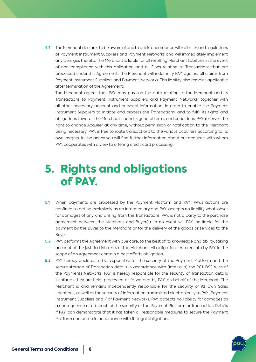**4.7** The Merchant declares to be aware of and to act in accordance with all rules and regulations of Payment Instrument Suppliers and Payment Networks and will immediately implement any changes thereto. The Merchant is liable for all resulting Merchant liabilities in the event of non-compliance with this obligation and all Fines relating to Transactions that are processed under this Agreement. The Merchant will indemnify PAY. against all claims from Payment Instrument Suppliers and Payment Networks. This liability also remains applicable after termination of the Agreement.

The Merchant agrees that PAY. may pass on the data relating to the Merchant and its Transactions to Payment Instrument Suppliers and Payment Networks, together with all other necessary account and personal information, in order to enable the Payment Instrument Suppliers to initiate and process the Transactions. and to fulfil its rights and obligations towards the Merchant under its general terms and conditions. PAY. reserves the right to change Acquirer at any time, without permission or notification to the Merchant being necessary. PAY. is free to route transactions to the various acquirers according to its own insights. In the annex you will find further information about our acquirers with whom PAY. cooperates with a view to offering credit card processing.

#### 5. Rights and obligations of PAY.

- **5.1** When payments are processed by the Payment Platform and PAY., PAY.'s actions are confined to acting exclusively as an intermediary and PAY. accepts no liability whatsoever for damages of any kind arising from the Transactions. PAY. is not a party to the purchase agreement between the Merchant and Buyer(s). In no event will PAY. be liable for the payment by the Buyer to the Merchant or for the delivery of the goods or services to the Buyer.
- **5.2** PAY. performs the Agreement with due care, to the best of its knowledge and ability, taking account of the justified interests of the Merchant. All obligations entered into by PAY. in the scope of an Agreement contain a best efforts obligation.
- **5.3** PAY. hereby declares to be responsible for the security of the Payment Platform and the secure storage of Transaction details in accordance with (inter alia) the PCI-DSS rules of the Payments Networks. PAY. is hereby responsible for the security of Transaction details insofar as they are held, processed or forwarded by PAY. on behalf of the Merchant. The Merchant is and remains independently responsible for the security of its own Sales Locations, as well as the security of information transmitted electronically to PAY., Payment Instrument Suppliers and / or Payment Networks. PAY. accepts no liability for damages as a consequence of a breach of the security of the Payment Platform or Transaction Details if PAY. can demonstrate that it has taken all reasonable measures to secure the Payment Platform and acted in accordance with its legal obligations.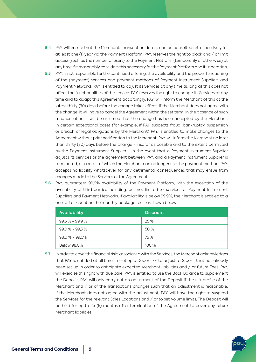- **5.4** PAY. will ensure that the Merchants Transaction details can be consulted retrospectively for at least one (1) year via the Payment Platform. PAY. reserves the right to block and / or limit access (such as the number of users) to the Payment Platform (temporarily or otherwise) at any time if it reasonably considers this necessary for the Payment Platform and its operation.
- **5.5** PAY. is not responsible for the continued offering, the availability and the proper functioning of the (payment) services and payment methods of Payment Instrument Suppliers and Payment Networks. PAY. is entitled to adjust its Services at any time as long as this does not affect the functionalities of the service. PAY. reserves the right to change its Services at any time and to adapt this Agreement accordingly. PAY. will inform the Merchant of this at the latest thirty (30) days before the change takes effect. If the Merchant does not agree with the change, it will have to cancel the Agreement within the set term. In the absence of such a cancellation, it will be assumed that the change has been accepted by the Merchant. In certain exceptional cases (for example, if PAY. suspects fraud, bankruptcy, suspension or breach of legal obligations by the Merchant) PAY. is entitled to make changes to the Agreement without prior notification to the Merchant. PAY. will inform the Merchant no later than thirty (30) days before the change - insofar as possible and to the extent permitted by the Payment Instrument Supplier - in the event that a Payment Instrument Supplier adjusts its services or the agreement between PAY. and a Payment Instrument Supplier is terminated, as a result of which the Merchant can no longer use the payment method. PAY. accepts no liability whatsoever for any detrimental consequences that may ensue from changes made to the Services or the Agreement.
- **5.6** PAY. guarantees 99.9% availability of the Payment Platform, with the exception of the availability of third parties including, but not limited to, services of Payment Instrument Suppliers and Payment Networks. If availability is below 99.9%, the Merchant is entitled to a one-off discount on the monthly package fees, as shown below.

| <b>Availability</b> | <b>Discount</b> |
|---------------------|-----------------|
| $99.5% - 99.9%$     | 25 %            |
| $99,0% - 99,5%$     | 50 %            |
| $98,0% - 99,0%$     | 75 %            |
| <b>Below 98,0%</b>  | 100 %           |

**5.7** In order to cover the financial risks associated with the Services, the Merchant acknowledges that PAY. is entitled at all times to set up a Deposit or to adjust a Deposit that has already been set up in order to anticipate expected Merchant liabilities and / or future Fees. PAY. will exercise this right with due care. PAY. is entitled to use the Book Balance to supplement the Deposit. PAY. will only carry out an adjustment of the Deposit if the risk profile of the Merchant and / or of the Transactions changes such that an adjustment is reasonable. If the Merchant does not agree with the adjustment, PAY. will have the right to suspend the Services for the relevant Sales Locations and / or to set Volume limits. The Deposit will be held for up to six (6) months after termination of the Agreement to cover any future Merchant liabilities.

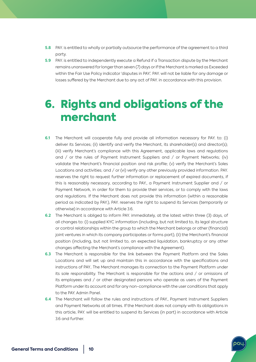- **5.8** PAY. is entitled to wholly or partially outsource the performance of the agreement to a third party.
- **5.9** PAY. is entitled to independently execute a Refund if a Transaction dispute by the Merchant remains unanswered for longer than seven (7) days or if the Merchant is marked as Exceeded within the Fair Use Policy indicator 'disputes in PAY.'. PAY. will not be liable for any damage or losses suffered by the Merchant due to any act of PAY. in accordance with this provision.

### 6. Rights and obligations of the merchant

- **6.1** The Merchant will cooperate fully and provide all information necessary for PAY. to: (i) deliver its Services; (ii) identify and verify the Merchant, its shareholder(s) and director(s); (iii) verify Merchant's compliance with this Agreement, applicable laws and regulations and / or the rules of Payment Instrument Suppliers and / or Payment Networks; (iv) validate the Merchant's financial position and risk profile; (v) verify the Merchant's Sales Locations and activities; and / or (vi) verify any other previously provided information. PAY. reserves the right to request further information or replacement of expired documents, if this is reasonably necessary, according to PAY., a Payment Instrument Supplier and / or Payment Network, in order for them to provide their services, or to comply with the laws and regulations. If the Merchant does not provide this information (within a reasonable period as indicated by PAY.), PAY. reserves the right to suspend its Services (temporarily or otherwise) in accordance with Article 3.6.
- **6.2** The Merchant is obliged to inform PAY. immediately, at the latest within three (3) days, of all changes to: (i) supplied KYC information (including, but not limited to, its legal structure or control relationships within the group to which the Merchant belongs or other (financial) joint ventures in which its company participates or forms part), (ii) the Merchant's financial position (including, but not limited to, an expected liquidation, bankruptcy or any other changes affecting the Merchant's compliance with the Agreement).
- **6.3** The Merchant is responsible for the link between the Payment Platform and the Sales Locations and will set up and maintain this in accordance with the specifications and instructions of PAY.. The Merchant manages its connection to the Payment Platform under its sole responsibility. The Merchant is responsible for the actions and / or omissions of its employees and / or other designated persons who operate as users of the Payment Platform under its account and for any non-compliance with the user conditions that apply to the PAY. Admin Panel.
- **6.4** The Merchant will follow the rules and instructions of PAY., Payment Instrument Suppliers and Payment Networks at all times. If the Merchant does not comply with its obligations in this article, PAY. will be entitled to suspend its Services (in part) in accordance with Article 3.6 and further.

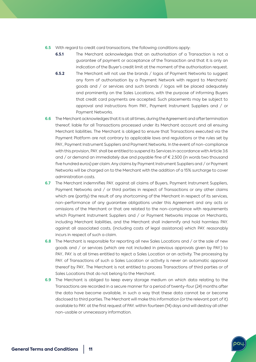- **6.5** With regard to credit card transactions, the following conditions apply:
	- **6.5.1** The Merchant acknowledges that an authorisation of a Transaction is not a guarantee of payment or acceptance of the Transaction and that it is only an indication of the Buyer's credit limit at the moment of the authorisation request.
	- **6.5.2** The Merchant will not use the brands / logos of Payment Networks to suggest any form of authorisation by a Payment Network with regard to Merchants' goods and / or services and such brands / logos will be placed adequately and prominently on the Sales Locations, with the purpose of informing Buyers that credit card payments are accepted. Such placements may be subject to approval and instructions from PAY., Payment Instrument Suppliers and / or Payment Networks.
- **6.6** The Merchant acknowledges that it is at all times, during the Agreement and after termination thereof, liable for all Transactions processed under its Merchant account and all ensuing Merchant liabilities. The Merchant is obliged to ensure that Transactions executed via the Payment Platform are not contrary to applicable laws and regulations or the rules set by PAY., Payment Instrument Suppliers and Payment Networks. In the event of non-compliance with this provision, PAY. shall be entitled to suspend its Services in accordance with Article 3.6 and / or demand an immediately due and payable fine of € 2,500 (in words two thousand five hundred euros) per claim. Any claims by Payment Instrument Suppliers and / or Payment Networks will be charged on to the Merchant with the addition of a 15% surcharge to cover administration costs.
- **6.7** The Merchant indemnifies PAY. against all claims of Buyers, Payment Instrument Suppliers, Payment Networks and / or third parties in respect of Transactions or any other claims which are (partly) the result of any shortcoming of the Merchant in respect of its services, non-performance of any guarantee obligations under this Agreement and any acts or omissions of the Merchant or that are related to the non-compliance with requirements which Payment Instrument Suppliers and / or Payment Networks impose on Merchants, including Merchant liabilities, and the Merchant shall indemnify and hold harmless PAY. against all associated costs, (including costs of legal assistance) which PAY. reasonably incurs in respect of such a claim.
- **6.8** The Merchant is responsible for reporting all new Sales Locations and / or the sale of new goods and / or services (which are not included in previous approvals given by PAY.) to PAY.. PAY. is at all times entitled to reject a Sales Location or an activity. The processing by PAY. of Transactions of such a Sales Location or activity is never an automatic approval thereof by PAY.. The Merchant is not entitled to process Transactions of third parties or of Sales Locations that do not belong to the Merchant.
- **6.9** The Merchant is obliged to keep every storage medium on which data relating to the Transactions are recorded in a secure manner for a period of twenty-four (24) months after the data have become available, in such a way that these data cannot be or become disclosed to third parties. The Merchant will make this information (or the relevant part of it) available to PAY. at the first request of PAY. within fourteen (14) days and will destroy all other non-usable or unnecessary information.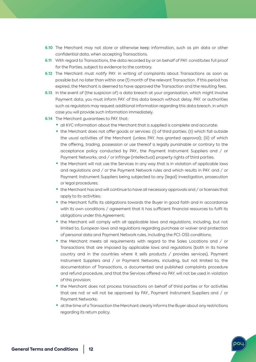- **6.10** The Merchant may not store or otherwise keep information, such as pin data or other confidential data, when accepting Transactions.
- **6.11** With regard to Transactions, the data recorded by or on behalf of PAY. constitutes full proof for the Parties, subject to evidence to the contrary.
- **6.12** The Merchant must notify PAY. in writing of complaints about Transactions as soon as possible but no later than within one (1) month of the relevant Transaction. If this period has expired, the Merchant is deemed to have approved the Transaction and the resulting fees.
- **6.13** In the event of (the suspicion of) a data breach at your organisation, which might involve Payment data, you must inform PAY. of this data breach without delay. PAY. or authorities such as regulators may request additional information regarding this data breach, in which case you will provide such information immediately.
- **6.14** The Merchant auarantees to PAY, that:
	- all KYC information about the Merchant that is supplied is complete and accurate;
	- the Merchant does not offer goods or services: (i) of third parties; (ii) which fall outside the usual activities of the Merchant (unless PAY. has granted approval); (iii) of which the offering, trading, possession or use thereof is legally punishable or contrary to the acceptance policy conducted by PAY., the Payment Instrument Suppliers and / or Payment Networks; and / or infringe (intellectual) property rights of third parties;
	- the Merchant will not use the Services in any way that is in violation of applicable laws and regulations and / or the Payment Network rules and which results in PAY. and / or Payment Instrument Suppliers being subjected to any (legal) investigation, prosecution or legal procedures;
	- the Merchant has and will continue to have all necessary approvals and / or licenses that apply to its activities;
	- the Merchant fulfils its obligations towards the Buyer in good faith and in accordance with its own conditions / agreement that it has sufficient financial resources to fulfil its obligations under this Agreement;
	- the Merchant will comply with all applicable laws and regulations, including, but not limited to, European laws and regulations regarding purchase or waiver and protection of personal data and Payment Network rules, including the PCI-DSS conditions;
	- the Merchant meets all requirements with regard to the Sales Locations and / or Transactions that are imposed by applicable laws and regulations (both in its home country and in the countries where it sells products / provides services), Payment Instrument Suppliers and / or Payment Networks, including, but not limited to, the documentation of Transactions, a documented and published complaints procedure and refund procedure, and that the Services offered via PAY. will not be used in violation of this provision;
	- the Merchant does not process transactions on behalf of third parties or for activities that are not or will not be approved by PAY., Payment Instrument Suppliers and / or Payment Networks;
	- at the time of a Transaction the Merchant clearly informs the Buyer about any restrictions regarding its return policy;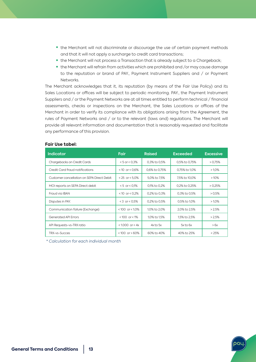- the Merchant will not discriminate or discourage the use of certain payment methods and that it will not apply a surcharge to credit card transactions;
- the Merchant will not process a Transaction that is already subject to a Chargeback;
- the Merchant will refrain from activities which are prohibited and /or may cause damage to the reputation or brand of PAY., Payment Instrument Suppliers and / or Payment **Networks**

The Merchant acknowledges that it, its reputation (by means of the Fair Use Policy) and its Sales Locations or offices will be subject to periodic monitoring. PAY., the Payment Instrument Suppliers and / or the Payment Networks are at all times entitled to perform technical / financial assessments, checks or inspections on the Merchant, the Sales Locations or offices of the Merchant in order to verify its compliance with its obligations arising from the Agreement, the rules of Payment Networks and / or to the relevant (laws and) regulations. The Merchant will provide all relevant information and documentation that is reasonably requested and facilitate any performance of this provision.

| <b>Indicator</b>                           | <b>Fair</b>          | <b>Raised</b> | <b>Exceeded</b> | <b>Excessive</b> |
|--------------------------------------------|----------------------|---------------|-----------------|------------------|
| Chargebacks on Credit Cards                | $< 5$ or $< 0.3\%$   | 0,3% to 0,5%  | 0,5% to 0,75%   | > 0.75%          |
| Credit Card fraud notifications            | < 10 or < $0.6\%$    | 0,6% to 0,75% | 0,75% to 1,0%   | $>1.0\%$         |
| Customer cancellation on SEPA Direct Debit | $< 25$ or $< 5.0\%$  | 5,0% to 7,5%  | 7,5% to 10,0%   | $>10\%$          |
| MOI reports on SEPA Direct debit           | $< 5$ or $< 0.1\%$   | 0,1% to 0,2%  | 0,2% to 0,25%   | > 0.25%          |
| Fraud via IBAN                             | <10 or < $0.2%$      | 0,2% to 0,3%  | 0,3% to 0,5%    | > 0.5%           |
| Disputes in PAY.                           | $< 3$ or $< 0.5\%$   | 0,2% to 0,5%  | 0,5% to 1,0%    | $>1.0\%$         |
| Communication failure (Exchange)           | $< 100$ or $< 1.0\%$ | 1,0% to 2,0%  | 2,0% to 2,5%    | >2.5%            |
| <b>Generated API Errors</b>                | $< 100$ or $< 1\%$   | 1,0% to 1,5%  | 1,5% to 2,5%    | >2.5%            |
| API Requests-vs-TRX ratio                  | $< 1.000$ or $< 4x$  | $4x$ to $5x$  | $5x$ to $6x$    | > 6x             |
| TRX-vs-Succes                              | $< 100$ or $> 60\%$  | 60% to 40%    | 40% to 25%      | $< 25\%$         |

#### **Fair Use tabel:**

*\* Calculation for each individual month*

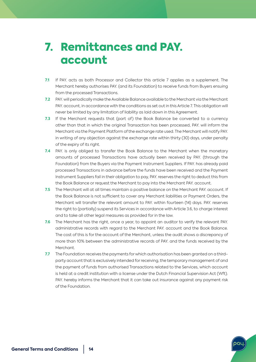### 7. Remittances and PAY. account

- **7.1** If PAY. acts as both Processor and Collector this article 7 applies as a supplement. The Merchant hereby authorises PAY. (and its Foundation) to receive funds from Buyers ensuing from the processed Transactions.
- **7.2** PAY. will periodically make the Available Balance available to the Merchant via the Merchant PAY. account, in accordance with the conditions as set out in this Article 7. This obligation will never be limited by any limitation of liability as laid down in this Agreement.
- **7.3** If the Merchant requests that (part of) the Book Balance be converted to a currency other than that in which the original Transaction has been processed, PAY. will inform the Merchant via the Payment Platform of the exchange rate used. The Merchant will notify PAY. in writing of any objection against the exchange rate within thirty (30) days, under penalty of the expiry of its right.
- **7.4** PAY. is only obliged to transfer the Book Balance to the Merchant when the monetary amounts of processed Transactions have actually been received by PAY. (through the Foundation) from the Buyers via the Payment Instrument Suppliers. If PAY. has already paid processed Transactions in advance before the funds have been received and the Payment Instrument Suppliers fail in their obligation to pay, PAY. reserves the right to deduct this from the Book Balance or request the Merchant to pay into the Merchant PAY. account.
- **7.5** The Merchant will at all times maintain a positive balance on the Merchant PAY. account. If the Book Balance is not sufficient to cover any Merchant liabilities or Payment Orders, the Merchant will transfer the relevant amount to PAY. within fourteen (14) days. PAY. reserves the right to (partially) suspend its Services in accordance with Article 3.6, to charge interest and to take all other legal measures as provided for in the law.
- **7.6** The Merchant has the right, once a year, to appoint an auditor to verify the relevant PAY. administrative records with regard to the Merchant PAY. account and the Book Balance. The cost of this is for the account of the Merchant, unless the audit shows a discrepancy of more than 10% between the administrative records of PAY. and the funds received by the Merchant.
- **7.7** The Foundation receives the payments for which authorisation has been granted on a thirdparty account that is exclusively intended for receiving, the temporary management of and the payment of funds from authorised Transactions related to the Services, which account is held at a credit institution with a license under the Dutch Financial Supervision Act (Wft). PAY. hereby informs the Merchant that it can take out insurance against any payment risk of the Foundation.

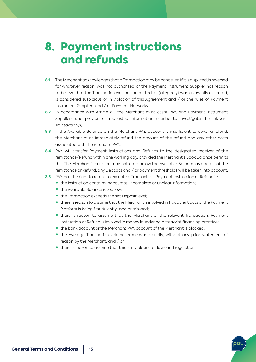## 8. Payment instructions and refunds

- **8.1** The Merchant acknowledges that a Transaction may be cancelled if it is disputed, is reversed for whatever reason, was not authorised or the Payment Instrument Supplier has reason to believe that the Transaction was not permitted, or (allegedly) was unlawfully executed, is considered suspicious or in violation of this Agreement and / or the rules of Payment Instrument Suppliers and / or Payment Networks.
- **8.2** In accordance with Article 8.1, the Merchant must assist PAY. and Payment Instrument Suppliers and provide all requested information needed to investigate the relevant Transaction(s).
- **8.3** If the Available Balance on the Merchant PAY. account is insufficient to cover a refund, the Merchant must immediately refund the amount of the refund and any other costs associated with the refund to PAY..
- **8.4** PAY. will transfer Payment Instructions and Refunds to the designated receiver of the remittance/Refund within one working day, provided the Merchant's Book Balance permits this. The Merchant's balance may not drop below the Available Balance as a result of the remittance or Refund, any Deposits and / or payment thresholds will be taken into account.
- **8.5** PAY. has the right to refuse to execute a Transaction, Payment Instruction or Refund if:
	- the instruction contains inaccurate, incomplete or unclear information;
	- the Available Balance is too low;
	- the Transaction exceeds the set Deposit level;
	- there is reason to assume that the Merchant is involved in fraudulent acts or the Payment Platform is being fraudulently used or misused;
	- there is reason to assume that the Merchant or the relevant Transaction, Payment Instruction or Refund is involved in money laundering or terrorist financing practices;
	- the bank account or the Merchant PAY. account of the Merchant is blocked;
	- the Average Transaction volume exceeds materially, without any prior statement of reason by the Merchant; and / or
	- there is reason to assume that this is in violation of laws and regulations.

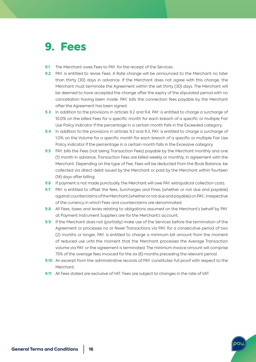### 9. Fees

- **9.1** The Merchant owes Fees to PAY, for the receipt of the Services.
- **9.2** PAY. is entitled to revise Fees. A Rate change will be announced to the Merchant no later than thirty (30) days in advance. If the Merchant does not agree with this change, the Merchant must terminate the Agreement within the set thirty (30) days. The Merchant will be deemed to have accepted the change after the expiry of the stipulated period with no cancellation having been made. PAY. bills the connection fees payable by the Merchant after the Agreement has been signed.
- **9.3** In addition to the provisions in articles 9.2 and 9.4, PAY. is entitled to charge a surcharge of 10.0% on the billed Fees for a specific month for each breach of a specific or multiple Fair Use Policy indicator if the percentage in a certain month falls in the Exceeded category.
- **9.4** In addition to the provisions in articles 9.2 and 9.3, PAY. is entitled to charge a surcharge of 1.0% on the Volume for a specific month for each breach of a specific or multiple Fair Use Policy indicator if the percentage in a certain month falls in the Excessive category.
- **9.5** PAY. bills the Fees (not being Transaction Fees) payable by the Merchant monthly and one (1) month in advance. Transaction Fees are billed weekly or monthly, in agreement with the Merchant. Depending on the type of Fee, Fees will be deducted from the Book Balance, be collected via direct debit issued by the Merchant or paid by the Merchant within fourteen (14) days after billing.
- **9.6** If payment is not made punctually, the Merchant will owe PAY. extrajudicial collection costs.
- **9.7** PAY. is entitled to offset the fees, Surcharges and Fines (whether or not due and payable) against counterclaims of the Merchant (whether or not due and payable) on PAY., irrespective of the currency in which Fees and counterclaims are denominated.
- **9.8** All Fees, taxes and levies relating to obligations assumed on the Merchant's behalf by PAY. at Payment Instrument Suppliers are for the Merchant's account.
- **9.9** If the Merchant does not (partially) make use of the Services before the termination of the Agreement or processes no or fewer Transactions via PAY. for a consecutive period of two (2) months or longer, PAY. is entitled to charge a minimum bill amount from the moment of reduced use until the moment that the Merchant processes the Average Transaction volume via PAY. or the agreement is terminated. The minimum invoice amount will comprise 75% of the average fees invoiced for the six (6) months preceding the relevant period.
- **9.10** An excerpt from the administrative records of PAY. constitutes full proof with respect to the Merchant.
- **9.11** All Fees stated are exclusive of VAT. Fees are subject to changes in the rate of VAT.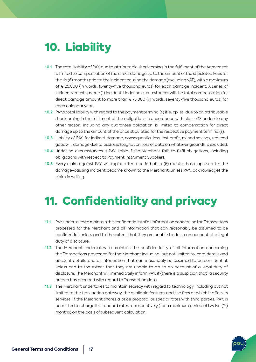## 10. Liability

- **10.1** The total liability of PAY. due to attributable shortcoming in the fulfilment of the Agreement is limited to compensation of the direct damage up to the amount of the stipulated Fees for the six (6) months prior to the incident causing the damage (excluding VAT), with a maximum of € 25,000 (in words: twenty-five thousand euros) for each damage incident. A series of incidents counts as one (1) incident. Under no circumstances will the total compensation for direct damage amount to more than € 75,000 (in words: seventy-five thousand euros) for each calendar year.
- **10.2** PAY.'s total liability with regard to the payment terminal(s) it supplies, due to an attributable shortcoming in the fulfilment of the obligations in accordance with clause 13 or due to any other reason, including any guarantee obligation, is limited to compensation for direct damage up to the amount of the price stipulated for the respective payment terminal(s).
- **10.3** Liability of PAY. for indirect damage, consequential loss, lost profit, missed savings, reduced goodwill, damage due to business stagnation, loss of data on whatever grounds, is excluded.
- **10.4** Under no circumstances is PAY. liable if the Merchant fails to fulfil obligations, including obligations with respect to Payment Instrument Suppliers.
- **10.5** Every claim against PAY. will expire after a period of six (6) months has elapsed after the damage-causing incident became known to the Merchant, unless PAY.. acknowledges the claim in writing.

## 11. Confidentiality and privacy

- **11.1** PAY. undertakes to maintain the confidentiality of all information concerning the Transactions processed for the Merchant and all information that can reasonably be assumed to be confidential, unless and to the extent that they are unable to do so on account of a legal duty of disclosure.
- **11.2** The Merchant undertakes to maintain the confidentiality of all information concerning the Transactions processed for the Merchant including, but not limited to, card details and account details, and all information that can reasonably be assumed to be confidential, unless and to the extent that they are unable to do so on account of a legal duty of disclosure. The Merchant will immediately inform PAY. if (there is a suspicion that) a security breach has occurred with regard to Transaction data.
- **11.3** The Merchant undertakes to maintain secrecy with regard to technology, including but not limited to the transaction gateway, the available features and the fees at which it offers its services. If the Merchant shares a price proposal or special rates with third parties, PAY. is permitted to charge its standard rates retrospectively (for a maximum period of twelve (12) months) on the basis of subsequent calculation.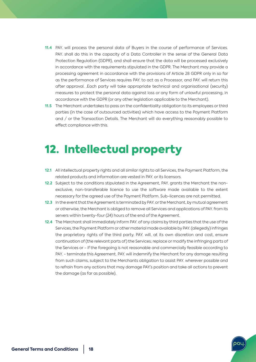- 11.4 PAY. will process the personal data of Buyers in the course of performance of Services. PAY. shall do this in the capacity of a Data Controller in the sense of the General Data Protection Regulation (GDPR), and shall ensure that the data will be processed exclusively in accordance with the requirements stipulated in the GDPR. The Merchant may provide a processing agreement in accordance with the provisions of Article 28 GDPR only in so far as the performance of Services requires PAY. to act as a Processor, and PAY. will return this after approval. .Each party will take appropriate technical and organisational (security) measures to protect the personal data against loss or any form of unlawful processing, in accordance with the GDPR (or any other legislation applicable to the Merchant).
- **11.5** The Merchant undertakes to pass on the confidentiality obligation to its employees or third parties (in the case of outsourced activities) which have access to the Payment Platform and / or the Transaction Details. The Merchant will do everything reasonably possible to effect compliance with this.

## 12. Intellectual property

- **12.1** All intellectual property rights and all similar rights to all Services, the Payment Platform, the related products and information are vested in PAY. or its licensors.
- **12.2** Subject to the conditions stipulated in the Agreement, PAY. grants the Merchant the nonexclusive, non-transferable licence to use the software made available to the extent necessary for the agreed use of the Payment Platform. Sub-licences are not permitted.
- **12.3** In the event that the Agreement is terminated by PAY. or the Merchant, by mutual agreement or otherwise, the Merchant is obliged to remove all Services and applications of PAY. from its servers within twenty-four (24) hours of the end of the Agreement.
- **12.4** The Merchant shall immediately inform PAY. of any claims by third parties that the use of the Services, the Payment Platform or other material made available by PAY. (allegedly) infringes the proprietary rights of the third party. PAY. will, at its own discretion and cost, ensure continuation of (the relevant parts of) the Services; replace or modify the infringing parts of the Services or - if the foregoing is not reasonable and commercially feasible according to PAY. - terminate this Agreement. PAY. will indemnify the Merchant for any damage resulting from such claims, subject to the Merchants obligation to assist PAY. wherever possible and to refrain from any actions that may damage PAY.'s position and take all actions to prevent the damage (as far as possible).

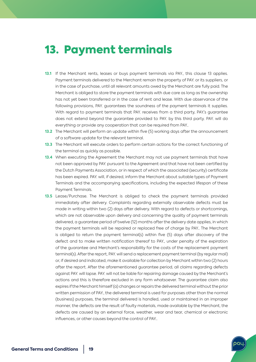#### 13. Payment terminals

- **13.1** If the Merchant rents, leases or buys payment terminals via PAY., this clause 13 applies. Payment terminals delivered to the Merchant remain the property of PAY. or its suppliers, or in the case of purchase, until all relevant amounts owed by the Merchant are fully paid. The Merchant is obliged to store the payment terminals with due care as long as the ownership has not yet been transferred or in the case of rent and lease. With due observance of the following provisions, PAY. guarantees the soundness of the payment terminals it supplies. With regard to payment terminals that PAY, receives from a third party, PAY's guarantee does not extend beyond the guarantee provided to PAY. by this third party. PAY. will do everything or provide any cooperation that can be required from PAY..
- **13.2** The Merchant will perform an update within five (5) working days after the announcement of a software update for the relevant terminal.
- **13.3** The Merchant will execute orders to perform certain actions for the correct functioning of the terminal as quickly as possible.
- **13.4** When executing the Agreement the Merchant may not use payment terminals that have not been approved by PAY. pursuant to the Agreement and that have not been certified by the Dutch Payments Association, or in respect of which the associated (security) certificate has been expired. PAY. will, if desired, inform the Merchant about suitable types of Payment Terminals and the accompanying specifications, including the expected lifespan of these Payment Terminals.
- **13.5** Lease/Purchase. The Merchant is obliged to check the payment terminals provided immediately after delivery. Complaints regarding externally observable defects must be made in writing within two (2) days after delivery. With regard to defects or shortcomings, which are not observable upon delivery and concerning the quality of payment terminals delivered, a guarantee period of twelve (12) months after the delivery date applies, in which the payment terminals will be repaired or replaced free of charge by PAY.. The Merchant is obliged to return the payment terminal(s) within five (5) days after discovery of the defect and to make written notification thereof to PAY., under penalty of the expiration of the guarantee and Merchant's responsibility for the costs of the replacement payment terminal(s). After the report, PAY. will send a replacement payment terminal (by regular mail) or, if desired and indicated, make it available for collection by Merchant within two (2) hours after the report. After the aforementioned guarantee period, all claims regarding defects against PAY. will lapse. PAY. will not be liable for repairing damage caused by the Merchant's actions and this is therefore excluded in any form whatsoever. The guarantee claim also expires if the Merchant himself (a) changes or repairs the delivered terminal without the prior written permission of PAY., the delivered terminal is used for purposes other than the normal (business) purposes, the terminal delivered is handled, used or maintained in an improper manner, the defects are the result of faulty materials, made available by the Merchant, the defects are caused by an external force, weather, wear and tear, chemical or electronic influences, or other causes beyond the control of PAY..

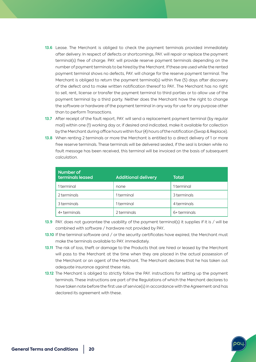- **13.6** Lease. The Merchant is obliged to check the payment terminals provided immediately after delivery. In respect of defects or shortcomings, PAY. will repair or replace the payment terminal(s) free of charge. PAY. will provide reserve payment terminals depending on the number of payment terminals to be hired by the Merchant. If these are used while the rented payment terminal shows no defects, PAY. will charge for the reserve payment terminal. The Merchant is obliged to return the payment terminal(s) within five (5) days after discovery of the defect and to make written notification thereof to PAY.. The Merchant has no right to sell, rent, license or transfer the payment terminal to third parties or to allow use of the payment terminal by a third party. Neither does the Merchant have the right to change the software or hardware of the payment terminal in any way for use for any purpose other than to perform Transactions.
- **13.7** After receipt of the fault report, PAY. will send a replacement payment terminal (by regular mail) within one (1) working day or, if desired and indicated, make it available for collection by the Merchant during office hours within four (4) hours of the notification (Swap & Replace).
- **13.8** When renting 2 terminals or more the Merchant is entitled to a direct delivery of 1 or more free reserve terminals. These terminals will be delivered sealed, if the seal is broken while no fault message has been received, this terminal will be invoiced on the basis of subsequent calculation.

| Number of<br>terminals leased | <b>Additional delivery</b> | <b>Total</b> |
|-------------------------------|----------------------------|--------------|
| 1 terminal                    | none                       | 1 terminal   |
| 2 terminals                   | 1 terminal                 | 3 terminals  |
| 3 terminals                   | 1 terminal                 | 4 terminals  |
| 4+ terminals                  | 2 terminals                | 6+ terminals |

- **13.9** PAY. does not guarantee the usability of the payment terminal(s) it supplies if it is / will be combined with software / hardware not provided by PAY..
- **13.10** If the terminal software and / or the security certificates have expired, the Merchant must make the terminals available to PAY. immediately.
- **13.11** The risk of loss, theft or damage to the Products that are hired or leased by the Merchant will pass to the Merchant at the time when they are placed in the actual possession of the Merchant or an agent of the Merchant. The Merchant declares that he has taken out adequate insurance against these risks.
- **13.12** The Merchant is obliged to strictly follow the PAY. instructions for setting up the payment terminals. These instructions are part of the Regulations of which the Merchant declares to have taken note before the first use of service(s) in accordance with the Agreement and has declared its agreement with these.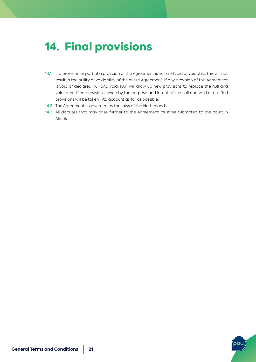## 14. Final provisions

- **14.1** If a provision or part of a provision of the Agreement is null and void or voidable, this will not result in the nullity or voidability of the entire Agreement. If any provision of this Agreement is void or declared null and void, PAY. will draw up new provisions to replace the null and void or nullified provisions, whereby the purpose and intent of the null and void or nullified provisions will be taken into account as far as possible.
- **14.2** The Agreement is governed by the laws of the Netherlands.
- **14.3** All disputes that may arise further to the Agreement must be submitted to the court in Almelo.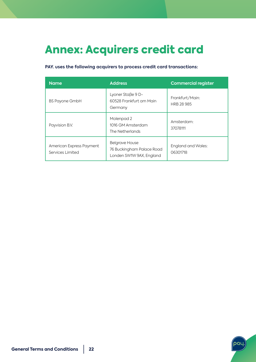# Annex: Acquirers credit card

#### **PAY. uses the following acquirers to process credit card transactions:**

| <b>Name</b>                                  | <b>Address</b>                                                                 | <b>Commercial register</b>     |
|----------------------------------------------|--------------------------------------------------------------------------------|--------------------------------|
| <b>BS Payone GmbH</b>                        | Lyoner Staße 9 D-<br>60528 Frankfurt am Main<br>Germany                        | Frankfurt/Main:<br>HRB 28 985  |
| Payvision B.V.                               | Molenpad 2<br>1016 GM Amsterdam<br>The Netherlands                             | Amsterdam:<br>37078111         |
| American Express Payment<br>Services Limited | <b>Belgrave House</b><br>76 Buckingham Palace Road<br>Londen SW1W 9AX, England | England and Wales:<br>06301718 |

pa